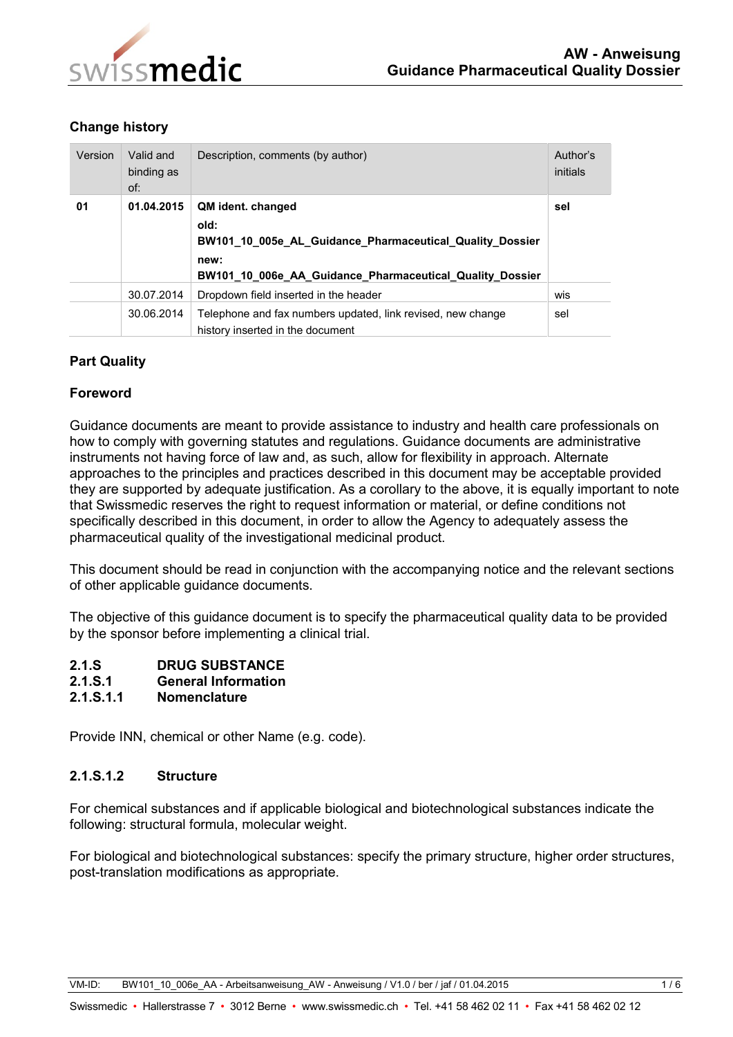

# **Change history**

| Version | Valid and<br>binding as<br>of: | Description, comments (by author)                                                                                                                         | Author's<br>initials |
|---------|--------------------------------|-----------------------------------------------------------------------------------------------------------------------------------------------------------|----------------------|
| 01      | 01.04.2015                     | QM ident. changed<br>old:<br>BW101_10_005e_AL_Guidance_Pharmaceutical_Quality_Dossier<br>new:<br>BW101_10_006e_AA_Guidance_Pharmaceutical_Quality_Dossier | sel                  |
|         | 30.07.2014                     | Dropdown field inserted in the header                                                                                                                     | wis                  |
|         | 30.06.2014                     | Telephone and fax numbers updated, link revised, new change<br>history inserted in the document                                                           | sel                  |

# **Part Quality**

## **Foreword**

Guidance documents are meant to provide assistance to industry and health care professionals on how to comply with governing statutes and regulations. Guidance documents are administrative instruments not having force of law and, as such, allow for flexibility in approach. Alternate approaches to the principles and practices described in this document may be acceptable provided they are supported by adequate justification. As a corollary to the above, it is equally important to note that Swissmedic reserves the right to request information or material, or define conditions not specifically described in this document, in order to allow the Agency to adequately assess the pharmaceutical quality of the investigational medicinal product.

This document should be read in conjunction with the accompanying notice and the relevant sections of other applicable guidance documents.

The objective of this guidance document is to specify the pharmaceutical quality data to be provided by the sponsor before implementing a clinical trial.

- **2.1.S DRUG SUBSTANCE**
- **2.1.S.1 General Information**
- **2.1.S.1.1 Nomenclature**

Provide INN, chemical or other Name (e.g. code).

## **2.1.S.1.2 Structure**

For chemical substances and if applicable biological and biotechnological substances indicate the following: structural formula, molecular weight.

For biological and biotechnological substances: specify the primary structure, higher order structures, post-translation modifications as appropriate.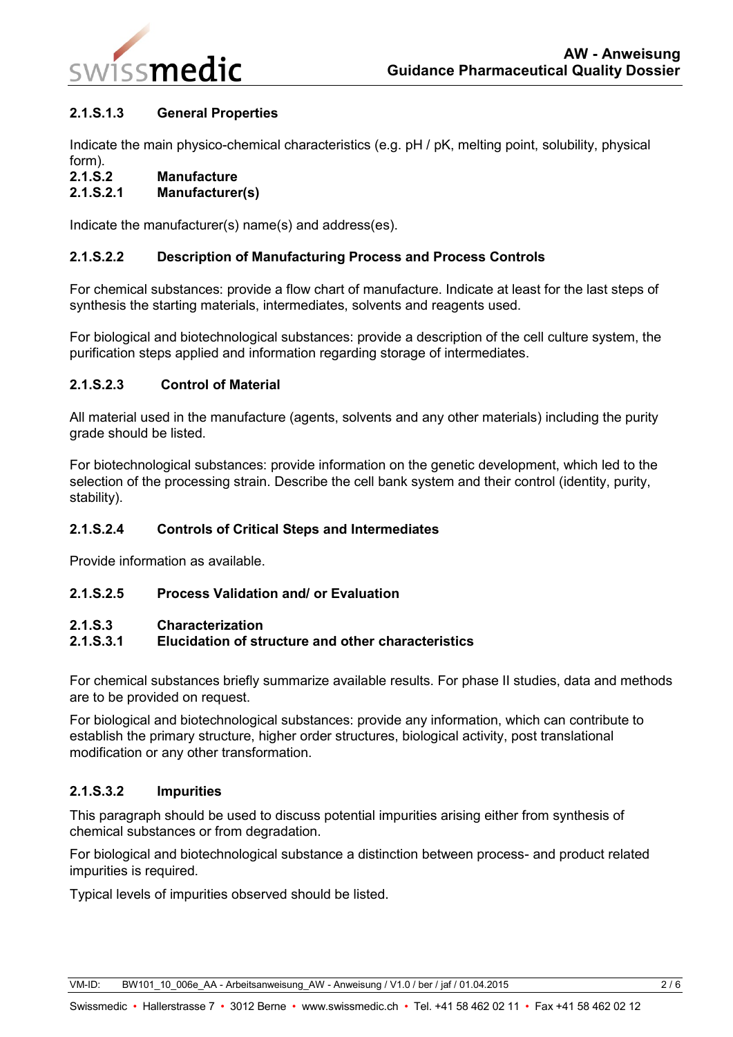

## **2.1.S.1.3 General Properties**

Indicate the main physico-chemical characteristics (e.g. pH / pK, melting point, solubility, physical form).

**2.1.S.2 Manufacture**

# **2.1.S.2.1 Manufacturer(s)**

Indicate the manufacturer(s) name(s) and address(es).

## **2.1.S.2.2 Description of Manufacturing Process and Process Controls**

For chemical substances: provide a flow chart of manufacture. Indicate at least for the last steps of synthesis the starting materials, intermediates, solvents and reagents used.

For biological and biotechnological substances: provide a description of the cell culture system, the purification steps applied and information regarding storage of intermediates.

## **2.1.S.2.3 Control of Material**

All material used in the manufacture (agents, solvents and any other materials) including the purity grade should be listed.

For biotechnological substances: provide information on the genetic development, which led to the selection of the processing strain. Describe the cell bank system and their control (identity, purity, stability).

## **2.1.S.2.4 Controls of Critical Steps and Intermediates**

Provide information as available.

## **2.1.S.2.5 Process Validation and/ or Evaluation**

## **2.1.S.3 Characterization**

# **2.1.S.3.1 Elucidation of structure and other characteristics**

For chemical substances briefly summarize available results. For phase II studies, data and methods are to be provided on request.

For biological and biotechnological substances: provide any information, which can contribute to establish the primary structure, higher order structures, biological activity, post translational modification or any other transformation.

## **2.1.S.3.2 Impurities**

This paragraph should be used to discuss potential impurities arising either from synthesis of chemical substances or from degradation.

For biological and biotechnological substance a distinction between process- and product related impurities is required.

Typical levels of impurities observed should be listed.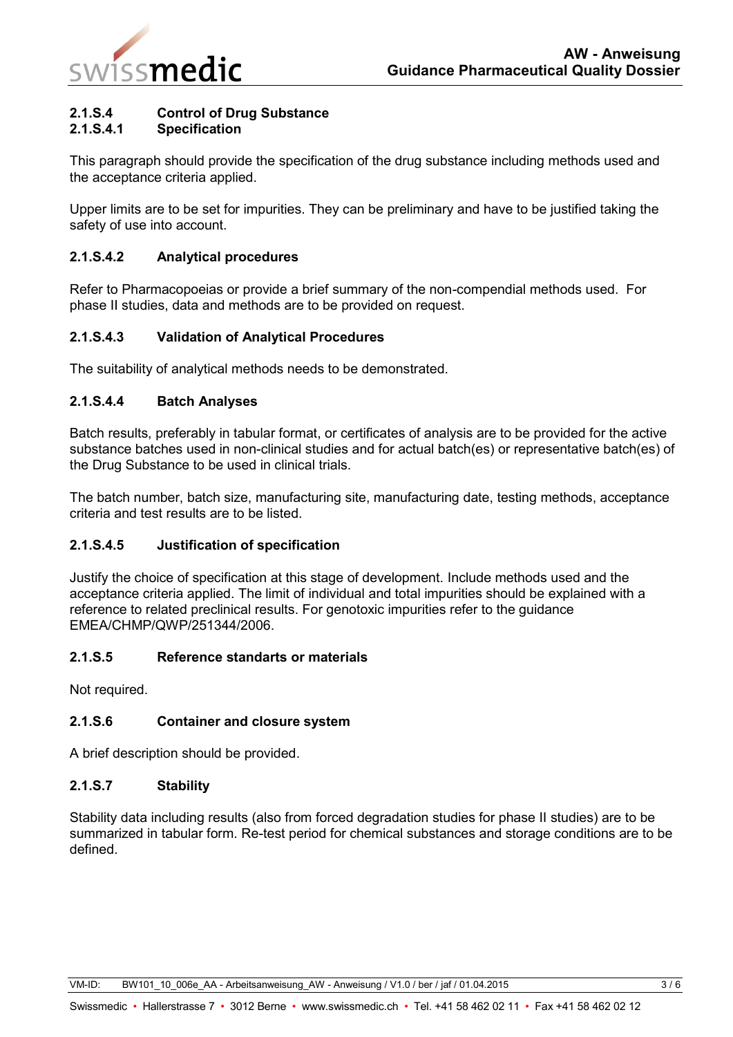

# **2.1.S.4 Control of Drug Substance**

## **2.1.S.4.1 Specification**

This paragraph should provide the specification of the drug substance including methods used and the acceptance criteria applied.

Upper limits are to be set for impurities. They can be preliminary and have to be justified taking the safety of use into account.

## **2.1.S.4.2 Analytical procedures**

Refer to Pharmacopoeias or provide a brief summary of the non-compendial methods used. For phase II studies, data and methods are to be provided on request.

## **2.1.S.4.3 Validation of Analytical Procedures**

The suitability of analytical methods needs to be demonstrated.

## **2.1.S.4.4 Batch Analyses**

Batch results, preferably in tabular format, or certificates of analysis are to be provided for the active substance batches used in non-clinical studies and for actual batch(es) or representative batch(es) of the Drug Substance to be used in clinical trials.

The batch number, batch size, manufacturing site, manufacturing date, testing methods, acceptance criteria and test results are to be listed.

## **2.1.S.4.5 Justification of specification**

Justify the choice of specification at this stage of development. Include methods used and the acceptance criteria applied. The limit of individual and total impurities should be explained with a reference to related preclinical results. For genotoxic impurities refer to the guidance EMEA/CHMP/QWP/251344/2006.

## **2.1.S.5 Reference standarts or materials**

Not required.

## **2.1.S.6 Container and closure system**

A brief description should be provided.

## **2.1.S.7 Stability**

Stability data including results (also from forced degradation studies for phase II studies) are to be summarized in tabular form. Re-test period for chemical substances and storage conditions are to be defined.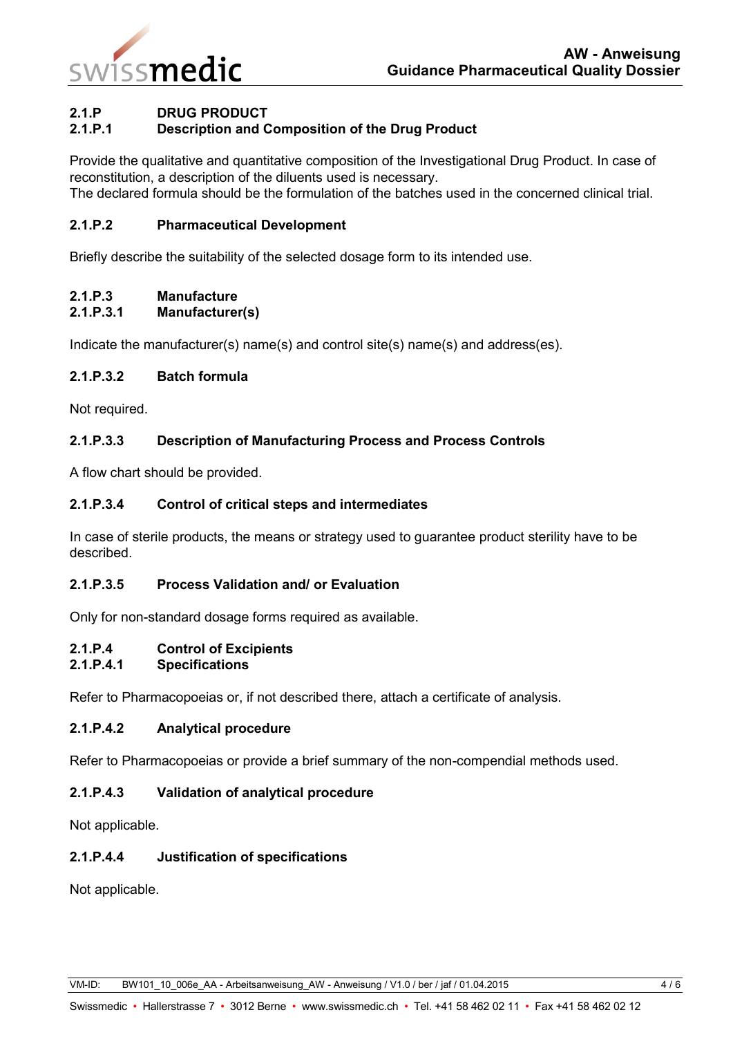

## **2.1.P DRUG PRODUCT**

## **2.1.P.1 Description and Composition of the Drug Product**

Provide the qualitative and quantitative composition of the Investigational Drug Product. In case of reconstitution, a description of the diluents used is necessary.

The declared formula should be the formulation of the batches used in the concerned clinical trial.

#### **2.1.P.2 Pharmaceutical Development**

Briefly describe the suitability of the selected dosage form to its intended use.

#### **2.1.P.3 Manufacture**

#### **2.1.P.3.1 Manufacturer(s)**

Indicate the manufacturer(s) name(s) and control site(s) name(s) and address(es).

## **2.1.P.3.2 Batch formula**

Not required.

## **2.1.P.3.3 Description of Manufacturing Process and Process Controls**

A flow chart should be provided.

## **2.1.P.3.4 Control of critical steps and intermediates**

In case of sterile products, the means or strategy used to guarantee product sterility have to be described.

## **2.1.P.3.5 Process Validation and/ or Evaluation**

Only for non-standard dosage forms required as available.

## **2.1.P.4 Control of Excipients**

#### **2.1.P.4.1 Specifications**

Refer to Pharmacopoeias or, if not described there, attach a certificate of analysis.

## **2.1.P.4.2 Analytical procedure**

Refer to Pharmacopoeias or provide a brief summary of the non-compendial methods used.

## **2.1.P.4.3 Validation of analytical procedure**

Not applicable.

## **2.1.P.4.4 Justification of specifications**

Not applicable.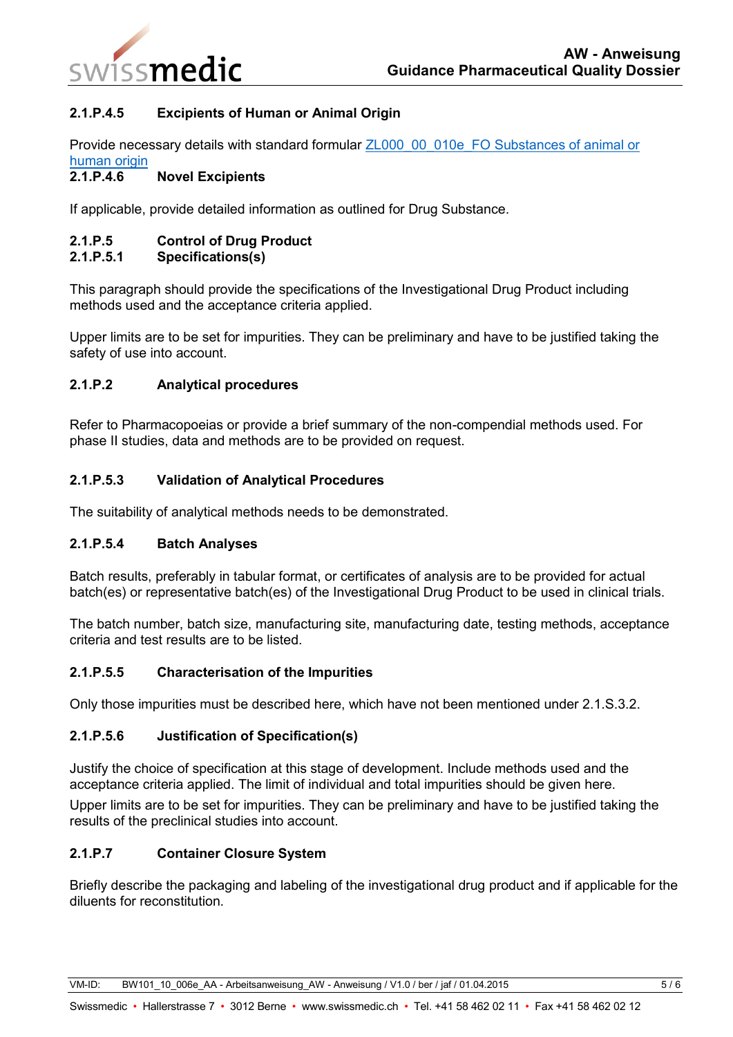

## **2.1.P.4.5 Excipients of Human or Animal Origin**

Provide necessary details with standard formular ZL000\_00\_010e\_FO Substances of animal or [human origin](https://www.swissmedic.ch/ZL000_00_010e_FO)

## **2.1.P.4.6 Novel Excipients**

If applicable, provide detailed information as outlined for Drug Substance.

## **2.1.P.5 Control of Drug Product**

## **2.1.P.5.1 Specifications(s)**

This paragraph should provide the specifications of the Investigational Drug Product including methods used and the acceptance criteria applied.

Upper limits are to be set for impurities. They can be preliminary and have to be justified taking the safety of use into account.

## **2.1.P.2 Analytical procedures**

Refer to Pharmacopoeias or provide a brief summary of the non-compendial methods used. For phase II studies, data and methods are to be provided on request.

## **2.1.P.5.3 Validation of Analytical Procedures**

The suitability of analytical methods needs to be demonstrated.

## **2.1.P.5.4 Batch Analyses**

Batch results, preferably in tabular format, or certificates of analysis are to be provided for actual batch(es) or representative batch(es) of the Investigational Drug Product to be used in clinical trials.

The batch number, batch size, manufacturing site, manufacturing date, testing methods, acceptance criteria and test results are to be listed.

## **2.1.P.5.5 Characterisation of the Impurities**

Only those impurities must be described here, which have not been mentioned under 2.1.S.3.2.

## **2.1.P.5.6 Justification of Specification(s)**

Justify the choice of specification at this stage of development. Include methods used and the acceptance criteria applied. The limit of individual and total impurities should be given here.

Upper limits are to be set for impurities. They can be preliminary and have to be justified taking the results of the preclinical studies into account.

## **2.1.P.7 Container Closure System**

Briefly describe the packaging and labeling of the investigational drug product and if applicable for the diluents for reconstitution.

VM-ID: BW101\_10\_006e\_AA - Arbeitsanweisung\_AW - Anweisung / V1.0 / ber / jaf / 01.04.2015 5 / 6